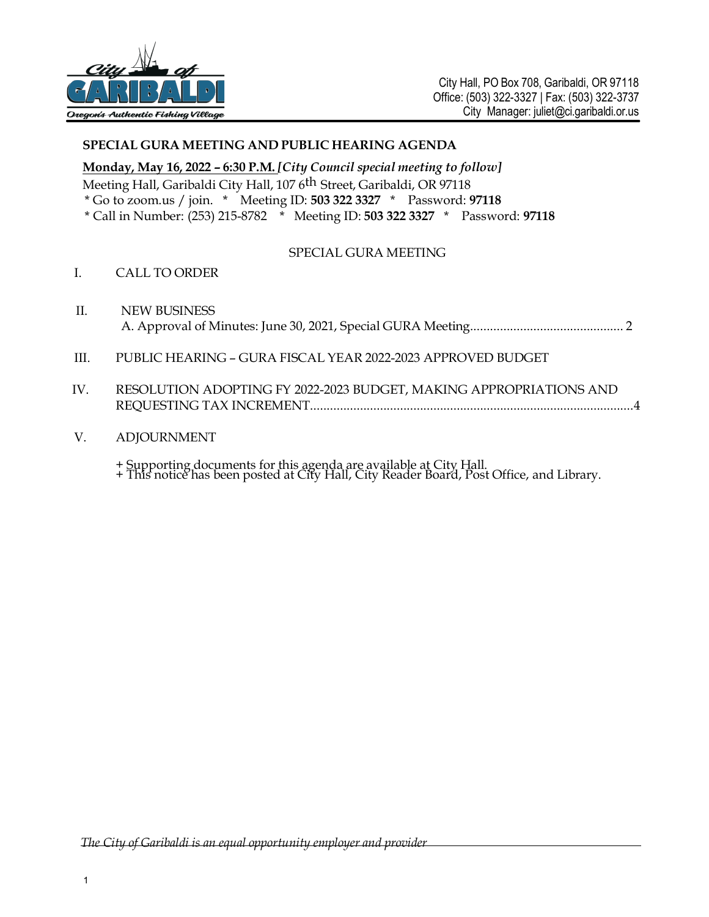

# **SPECIAL GURA MEETING AND PUBLIC HEARING AGENDA**

**Monday, May 16, 2022 – 6:30 P.M.** *[City Council special meeting to follow]*

Meeting Hall, Garibaldi City Hall, 107 6th Street, Garibaldi, OR 97118

\* Go to zoom.us / join. \* Meeting ID: **503 322 3327** \* Password: **97118**

\* Call in Number: (253) 215-8782 \* Meeting ID: **503 322 3327** \* Password: **97118**

#### SPECIAL GURA MEETING

- I. CALL TO ORDER
- II. NEW BUSINESS A. Approval of Minutes: June 30, 2021, Special GURA Meeting.............................................. 2
- III. PUBLIC HEARING GURA FISCAL YEAR 2022-2023 APPROVED BUDGET
- IV. RESOLUTION ADOPTING FY 2022-2023 BUDGET, MAKING APPROPRIATIONS AND REQUESTING TAX INCREMENT................................................................................................. 4
- V. ADJOURNMENT
	- + Supporting documents for this agenda are available at City Hall.
	- + This notice has been posted at City Hall, City Reader Board, Post Office, and Library.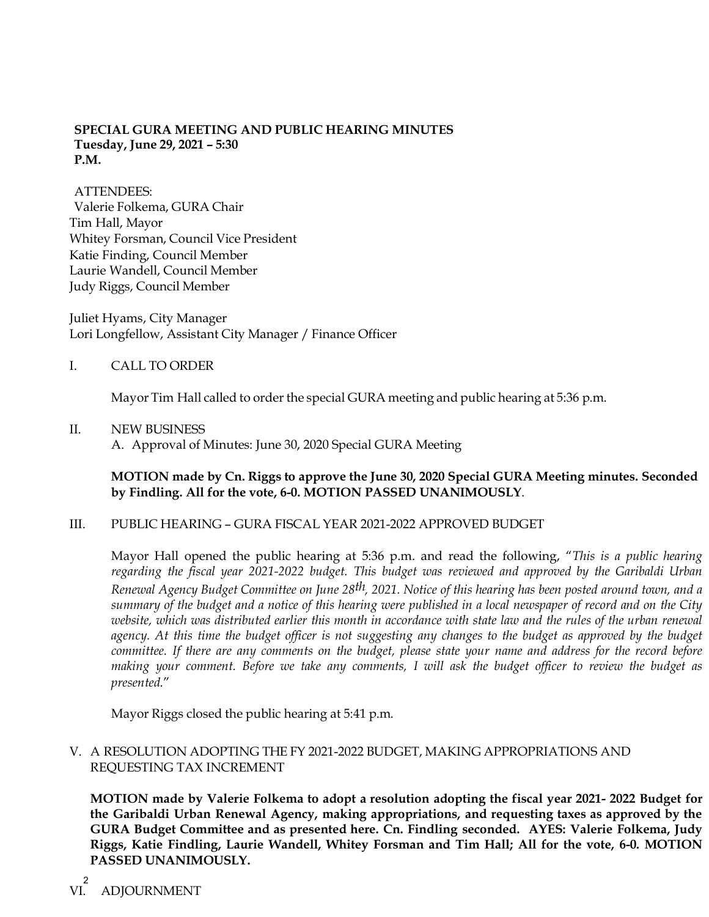## **SPECIAL GURA MEETING AND PUBLIC HEARING MINUTES Tuesday, June 29, 2021 – 5:30 P.M.**

ATTENDEES: Valerie Folkema, GURA Chair Tim Hall, Mayor Whitey Forsman, Council Vice President Katie Finding, Council Member Laurie Wandell, Council Member Judy Riggs, Council Member

Juliet Hyams, City Manager Lori Longfellow, Assistant City Manager / Finance Officer

## I. CALL TO ORDER

Mayor Tim Hall called to order the special GURA meeting and public hearing at 5:36 p.m.

#### II. NEW BUSINESS

A. Approval of Minutes: June 30, 2020 Special GURA Meeting

## **MOTION made by Cn. Riggs to approve the June 30, 2020 Special GURA Meeting minutes. Seconded by Findling. All for the vote, 6-0. MOTION PASSED UNANIMOUSLY**.

#### III. PUBLIC HEARING – GURA FISCAL YEAR 2021-2022 APPROVED BUDGET

Mayor Hall opened the public hearing at 5:36 p.m. and read the following, "*This is a public hearing regarding the fiscal year 2021-2022 budget. This budget was reviewed and approved by the Garibaldi Urban Renewal Agency Budget Committee on June 28th, 2021. Notice of this hearing has been posted around town, and a summary of the budget and a notice of this hearing were published in a local newspaper of record and on the City*  website, which was distributed earlier this month in accordance with state law and the rules of the urban renewal agency. At this time the budget officer is not suggesting any changes to the budget as approved by the budget *committee. If there are any comments on the budget, please state your name and address for the record before making your comment. Before we take any comments, I will ask the budget officer to review the budget as presented.*"

Mayor Riggs closed the public hearing at 5:41 p.m.

# V. A RESOLUTION ADOPTING THE FY 2021-2022 BUDGET, MAKING APPROPRIATIONS AND REQUESTING TAX INCREMENT

**MOTION made by Valerie Folkema to adopt a resolution adopting the fiscal year 2021- 2022 Budget for the Garibaldi Urban Renewal Agency, making appropriations, and requesting taxes as approved by the GURA Budget Committee and as presented here. Cn. Findling seconded. AYES: Valerie Folkema, Judy Riggs, Katie Findling, Laurie Wandell, Whitey Forsman and Tim Hall; All for the vote, 6-0. MOTION PASSED UNANIMOUSLY.**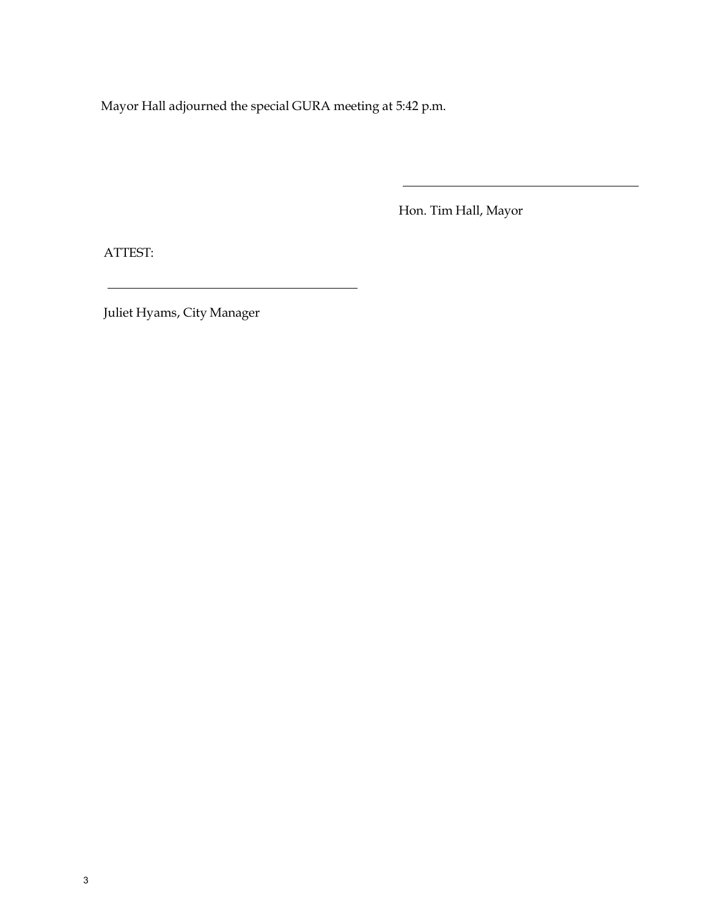Mayor Hall adjourned the special GURA meeting at 5:42 p.m.

<u> 1980 - Johann Barbara, martxa alemaniar a</u>

Hon. Tim Hall, Mayor

ATTEST:

Juliet Hyams, City Manager